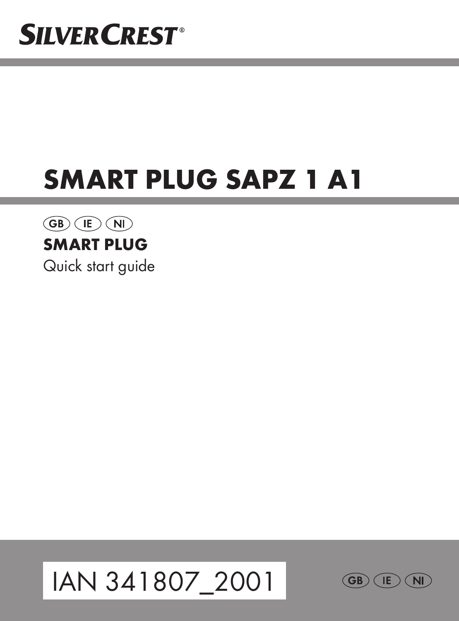## **SILVER CREST®**

## SMART PLUG SAPZ 1 A1

#### $\overline{\text{GB}}$  (E) (NI) SMART PLUG

Quick start guide



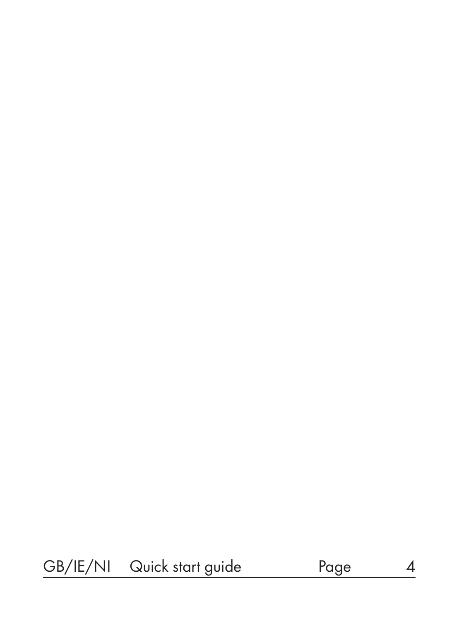#### GB/IE/NI Quick start guide Page 4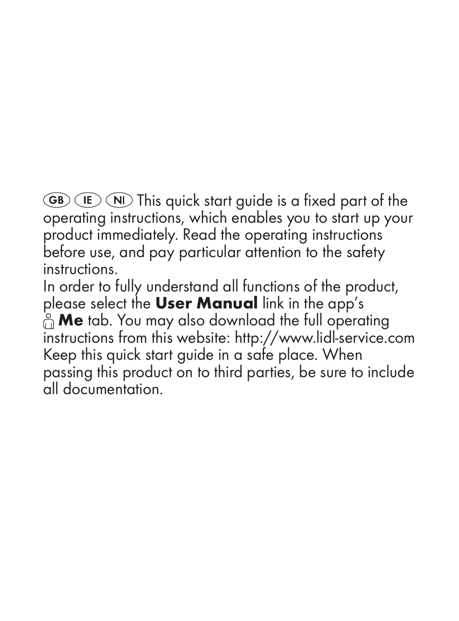$\overline{GB}$   $\overline{IP}$   $\overline{NI}$  This quick start guide is a fixed part of the operating instructions, which enables you to start up your product immediately. Read the operating instructions before use, and pay particular attention to the safety instructions.

In order to fully understand all functions of the product, please select the User Manual link in the app's  $\hat{a}$  Me tab. You may also download the full operating instructions from this website: http://www.lidl-service.com Keep this quick start guide in a safe place. When passing this product on to third parties, be sure to include all documentation.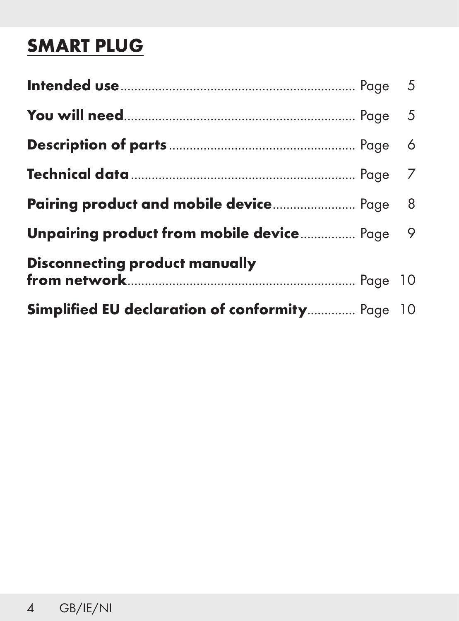### SMART PLUG

| <b>Pairing product and mobile device</b> Page 8 |  |
|-------------------------------------------------|--|
| Unpairing product from mobile device Page 9     |  |
| <b>Disconnecting product manually</b>           |  |
| Simplified EU declaration of conformity Page 10 |  |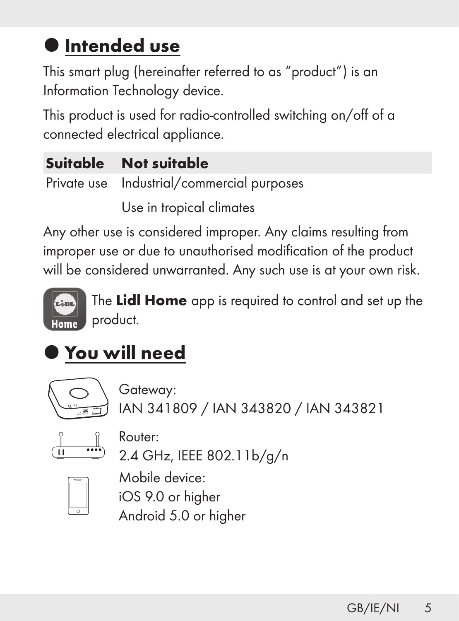### **O** Intended use

This smart plug (hereinafter referred to as "product") is an Information Technology device.

This product is used for radio-controlled switching on/off of a connected electrical appliance.

| Suitable Not suitable                      |
|--------------------------------------------|
| Private use Industrial/commercial purposes |

Use in tropical climates

Any other use is considered improper. Any claims resulting from improper use or due to unauthorised modification of the product will be considered unwarranted. Any such use is at your own risk.



The Lidl Home app is required to control and set up the product.

## You will need



Gateway: IAN 341809 / IAN 343820 / IAN 343821



Router:

2.4 GHz, IEEE 802.11b/g/n



Mobile device: iOS 9.0 or higher Android 5.0 or higher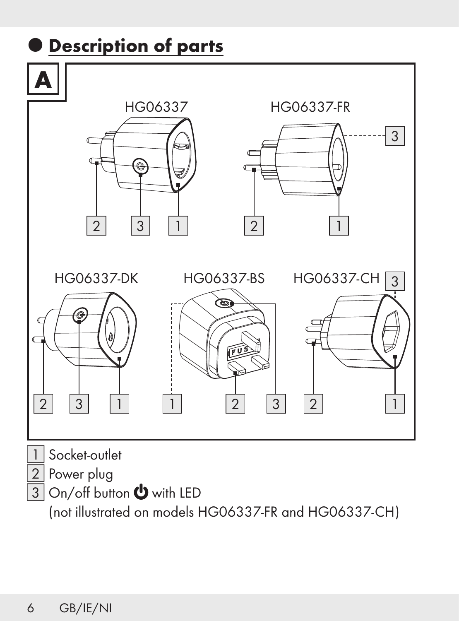

(not illustrated on models HG06337-FR and HG06337-CH)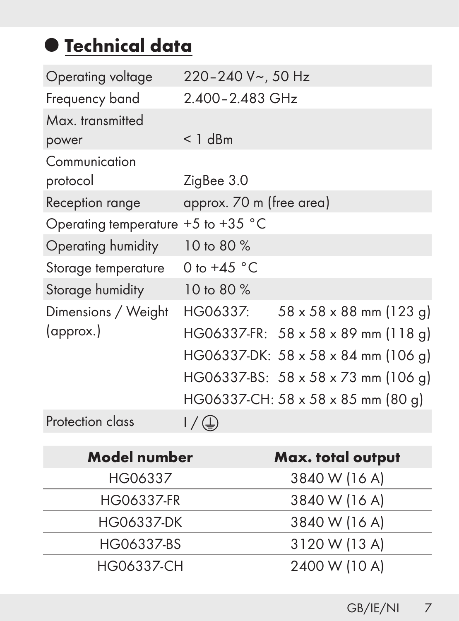## $\bullet$  Technical data

| Operating voltage         | 220-240 V~, 50 Hz                               |
|---------------------------|-------------------------------------------------|
| Frequency band            | 2.400-2.483 GHz                                 |
| Max. transmitted          |                                                 |
| power                     | $< 1$ dBm                                       |
| Communication<br>protocol | ZigBee 3.0                                      |
| Reception range           | approx. 70 m (free area)                        |
| Operating temperature     | $+5$ to $+35$ °C                                |
| Operating humidity        | 10 to 80 %                                      |
| Storage temperature       | 0 to $+45$ °C                                   |
| Storage humidity          | 10 to 80 %                                      |
| Dimensions / Weight       | HG06337:<br>$58 \times 58 \times 88$ mm (123 g) |
| (approx.)                 | HG06337-FR: 58 x 58 x 89 mm (118 g)             |
|                           | HG06337-DK: 58 x 58 x 84 mm (106 q)             |
|                           | HG06337-BS: 58 x 58 x 73 mm (106 q)             |
|                           | HG06337-CH: 58 x 58 x 85 mm (80 g)              |
| Protection class          | / (字)                                           |

| <b>Model number</b> | Max. total output |
|---------------------|-------------------|
| HG06337             | 3840 W (16 A)     |
| HG06337-FR          | 3840 W (16 A)     |
| HG06337-DK          | 3840 W (16 A)     |
| HG06337-BS          | 3120 W (13 A)     |
| <b>HG06337-CH</b>   | 2400 W (10 A)     |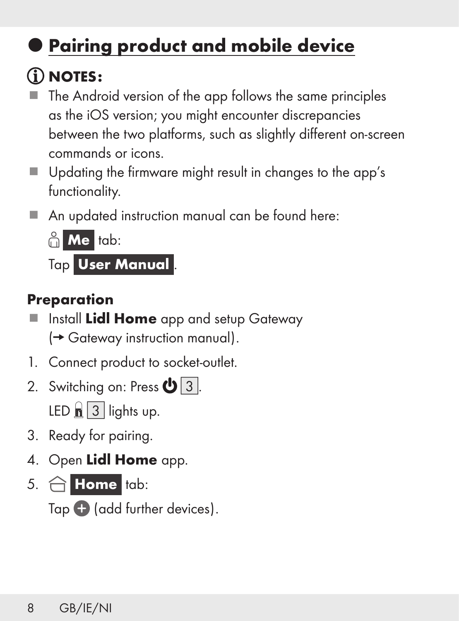## Pairing product and mobile device

## NOTES:

- The Android version of the app follows the same principles as the iOS version; you might encounter discrepancies between the two platforms, such as slightly different on-screen commands or icons.
- Updating the firmware might result in changes to the app's functionality.
- An updated instruction manual can be found here:



Tap User Manual

#### Preparation

- Install Lidl Home app and setup Gateway  $(\rightarrow$  Gateway instruction manual).
- 1. Connect product to socket-outlet.
- 2. Switching on: Press  $\mathbf{\Phi}$  3. LED  $\boxed{3}$  lights up.
- 3. Ready for pairing.
- 4. Open Lidl Home app.
- 5.  $\hat{\bigcap}$  Home tab:

Tap  $\bigcirc$  (add further devices).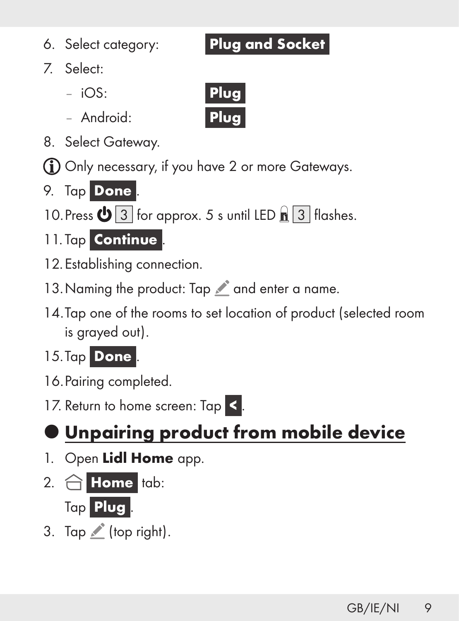## Unpairing product from mobile device

- 1. Open Lidl Home app.
- 2.  $\bigcap$  Home tab:



3. Tap  $\triangle$  (top right).

#### 6. Select category: **Plug and Socket**

- 7. Select:
	- $-$  iOS:  $\qquad \qquad$  Plug
	- Android: {Plug}
- 8. Select Gateway.

Only necessary, if you have 2 or more Gateways.

- 9. Tap Done
- 10. Press  $\bigcirc$  3 for approx. 5 s until LED  $\leftarrow$  3 flashes.
- 11. Tap Continue
- 12.Establishing connection.
- 13. Naming the product: Tap and enter a name.
- 14.Tap one of the rooms to set location of product (selected room is grayed out).
- 15.Tap Done
- 16.Pairing completed.
- 17. Return to home screen: Tap <

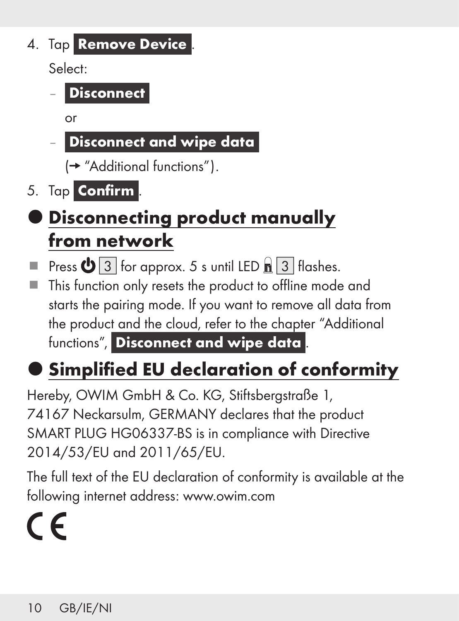4. Tap Remove Device

Select:

Disconnect

or

**-** Disconnect and wipe data

(→ "Additional functions").

5. Tap **Confirm**.

### $\bullet$  Disconnecting product manually from network

Press  $\bigcirc$  3 for approx. 5 s until LED  $\bigcirc$  3 flashes.

■ This function only resets the product to offline mode and starts the pairing mode. If you want to remove all data from the product and the cloud, refer to the chapter "Additional functions", Disconnect and wipe data

## **Simplified EU declaration of conformity**

Hereby, OWIM GmbH & Co. KG, Stiftsbergstraße 1, 74167 Neckarsulm, GERMANY declares that the product SMART PLUG HG06337-BS is in compliance with Directive 2014/53/EU and 2011/65/EU.

The full text of the EU declaration of conformity is available at the following internet address: www.owim.com

# $\epsilon$